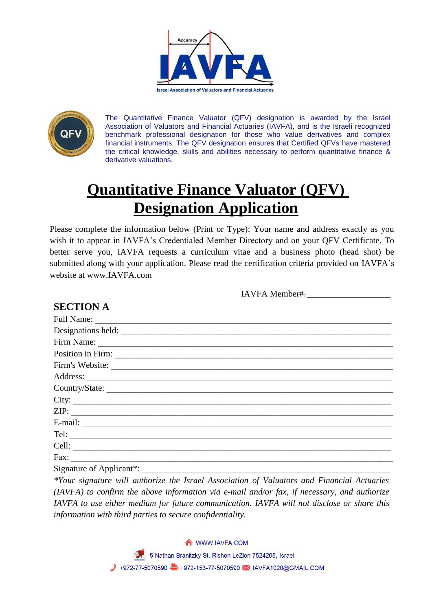



The Quantitative Finance Valuator (QFV) designation is awarded by the Israel Association of Valuators and Financial Actuaries (IAVFA), and is the Israeli recognized benchmark professional designation for those who value derivatives and complex financial instruments. The QFV designation ensures that Certified QFVs have mastered the critical knowledge, skills and abilities necessary to perform quantitative finance & derivative valuations.

# **Quantitative Finance Valuator (QFV) Designation Application**

Please complete the information below (Print or Type): Your name and address exactly as you wish it to appear in IAVFA's Credentialed Member Directory and on your QFV Certificate. To better serve you, IAVFA requests a curriculum vitae and a business photo (head shot) be submitted along with your application. Please read the certification criteria provided on IAVFA's website at www.IAVFA.com

IAVFA Member#:\_\_\_\_\_\_\_\_\_\_\_\_\_\_\_\_\_\_\_

## **SECTION A**

| Firm's Website:                    |
|------------------------------------|
|                                    |
| Country/State:                     |
|                                    |
| ZIP:                               |
|                                    |
|                                    |
|                                    |
| $\text{Fax:}\n \overrightarrow{ }$ |
| Signature of Applicant*:           |

*\*Your signature will authorize the Israel Association of Valuators and Financial Actuaries (IAVFA) to confirm the above information via e-mail and/or fax, if necessary, and authorize IAVFA to use either medium for future communication. IAVFA will not disclose or share this information with third parties to secure confidentiality.*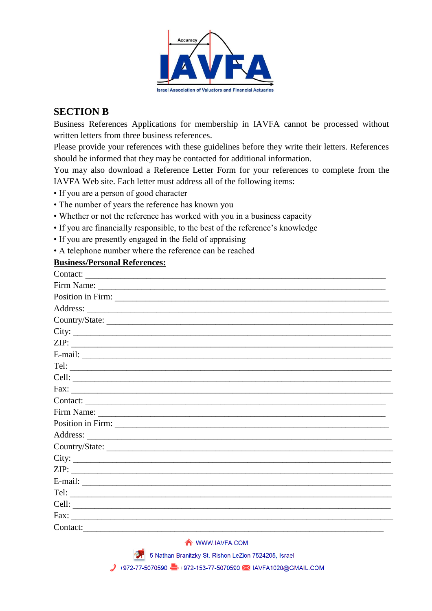

#### **SECTION B**

Business References Applications for membership in IAVFA cannot be processed without written letters from three business references.

Please provide your references with these guidelines before they write their letters. References should be informed that they may be contacted for additional information.

You may also download a Reference Letter Form for your references to complete from the IAVFA Web site. Each letter must address all of the following items:

- If you are a person of good character
- The number of years the reference has known you
- Whether or not the reference has worked with you in a business capacity
- If you are financially responsible, to the best of the reference's knowledge
- If you are presently engaged in the field of appraising
- A telephone number where the reference can be reached

#### **Business/Personal References:**

| Contact:<br><u> 1980 - Andrea Andrew Maria (h. 1980).</u> |
|-----------------------------------------------------------|
|                                                           |
| Position in Firm:                                         |
|                                                           |
| Country/State:                                            |
| City:                                                     |
|                                                           |
|                                                           |
|                                                           |
|                                                           |
|                                                           |
| Contact:                                                  |
|                                                           |
|                                                           |
|                                                           |
| Country/State:                                            |
|                                                           |
| ZIP:                                                      |
|                                                           |
|                                                           |
| Cell:                                                     |
|                                                           |
| Contact:                                                  |

WWW.IAVFA.COM

5 Nathan Branitzky St. Rishon LeZion 7524205, Israel

→ +972-77-5070590 → +972-153-77-5070590 → IAVFA1020@GMAIL.COM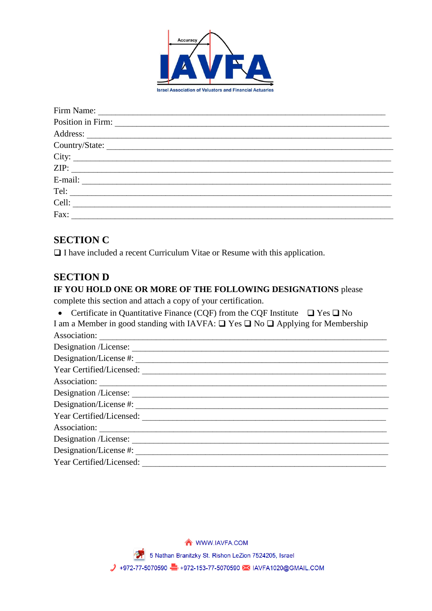

| Country/State: |
|----------------|
|                |
| ZIP:           |
|                |
|                |
|                |
| Fax:           |

#### **SECTION C**

 $\Box$  I have included a recent Curriculum Vitae or Resume with this application.

#### **SECTION D**

#### IF YOU HOLD ONE OR MORE OF THE FOLLOWING DESIGNATIONS please

complete this section and attach a copy of your certification.

• Certificate in Quantitative Finance (CQF) from the CQF Institute  $\Box$  Yes  $\Box$  No

I am a Member in good standing with IAVFA:  $\Box$  Yes  $\Box$  No  $\Box$  Applying for Membership Association:

| Designation /License:    |
|--------------------------|
|                          |
| Year Certified/Licensed: |
| Association:             |
| Designation /License:    |
| Designation/License #:   |
| Year Certified/Licensed: |
|                          |
| Designation /License:    |
| Designation/License #:   |
| Year Certified/Licensed: |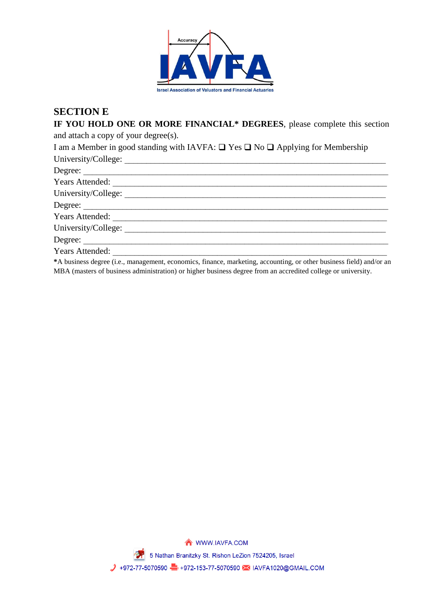

#### **SECTION E**

**IF YOU HOLD ONE OR MORE FINANCIAL\* DEGREES**, please complete this section and attach a copy of your degree(s). I am a Member in good standing with IAVFA:  $\Box$  Yes  $\Box$  No  $\Box$  Applying for Membership University/College: \_\_\_\_\_\_\_\_\_\_\_\_\_\_\_\_\_\_\_\_\_\_\_\_\_\_\_\_\_\_\_\_\_\_\_\_\_\_\_\_\_\_\_\_\_\_\_\_\_\_\_\_\_\_\_\_\_\_\_\_ Degree: Years Attended: \_\_\_\_\_\_\_\_\_\_\_\_\_\_\_\_\_\_\_\_\_\_\_\_\_\_\_\_\_\_\_\_\_\_\_\_\_\_\_\_\_\_\_\_\_\_\_\_\_\_\_\_\_\_\_\_\_\_\_\_\_\_\_ University/College: Degree: \_\_\_\_\_\_\_\_\_\_\_\_\_\_\_\_\_\_\_\_\_\_\_\_\_\_\_\_\_\_\_\_\_\_\_\_\_\_\_\_\_\_\_\_\_\_\_\_\_\_\_\_\_\_\_\_\_\_\_\_\_\_\_\_\_\_\_\_\_\_ Years Attended:  $\blacksquare$ University/College: Degree: Years Attended:

**\***A business degree (i.e., management, economics, finance, marketing, accounting, or other business field) and/or an MBA (masters of business administration) or higher business degree from an accredited college or university.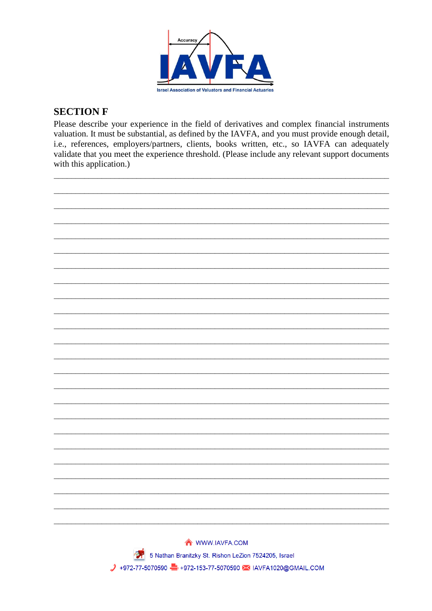

#### **SECTION F**

Please describe your experience in the field of derivatives and complex financial instruments valuation. It must be substantial, as defined by the IAVFA, and you must provide enough detail, i.e., references, employers/partners, clients, books written, etc., so IAVFA can adequately validate that you meet the experience threshold. (Please include any relevant support documents with this application.)

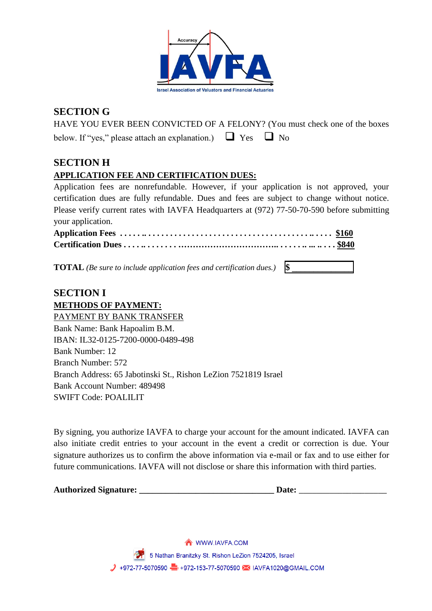

## **SECTION G**

HAVE YOU EVER BEEN CONVICTED OF A FELONY? (You must check one of the boxes below. If "yes," please attach an explanation.)  $\Box$  Yes  $\Box$  No

## **SECTION H**

#### **APPLICATION FEE AND CERTIFICATION DUES:**

Application fees are nonrefundable. However, if your application is not approved, your certification dues are fully refundable. Dues and fees are subject to change without notice. Please verify current rates with IAVFA Headquarters at (972) 77-50-70-590 before submitting your application.

**TOTAL** *(Be sure to include application fees and certification dues.)* **\\$** 

#### **SECTION I METHODS OF PAYMENT:**

PAYMENT BY BANK TRANSFER Bank Name: Bank Hapoalim B.M. IBAN: IL32-0125-7200-0000-0489-498 Bank Number: 12 Branch Number: 572 Branch Address: 65 Jabotinski St., Rishon LeZion 7521819 Israel Bank Account Number: 489498 SWIFT Code: POALILIT

By signing, you authorize IAVFA to charge your account for the amount indicated. IAVFA can also initiate credit entries to your account in the event a credit or correction is due. Your signature authorizes us to confirm the above information via e-mail or fax and to use either for future communications. IAVFA will not disclose or share this information with third parties.

| <b>Authorized Signature:</b> |  |
|------------------------------|--|
|                              |  |

**Date:**  $\blacksquare$ 

WWW.IAVFA.COM 5 Nathan Branitzky St. Rishon LeZion 7524205, Israel → +972-77-5070590 → +972-153-77-5070590 → IAVFA1020@GMAIL.COM